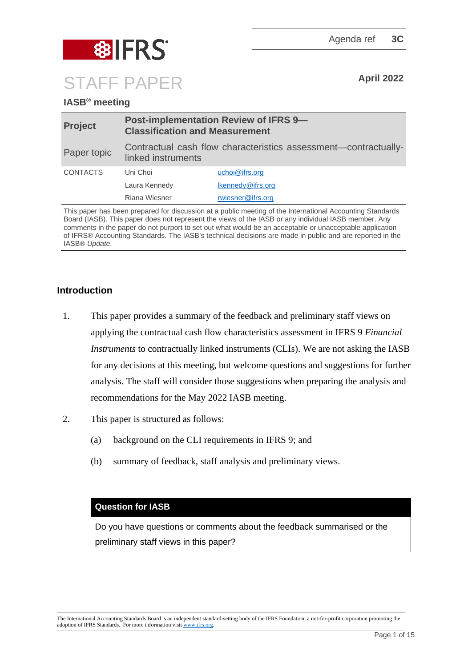

# **IASB® meeting**

| <b>Project</b>  | <b>Post-implementation Review of IFRS 9-</b><br><b>Classification and Measurement</b> |                   |
|-----------------|---------------------------------------------------------------------------------------|-------------------|
| Paper topic     | Contractual cash flow characteristics assessment—contractually-<br>linked instruments |                   |
| <b>CONTACTS</b> | Uni Choi                                                                              | uchoi@ifrs.org    |
|                 | Laura Kennedy                                                                         | Ikennedy@ifrs.org |
|                 | Riana Wiesner                                                                         | rwiesner@ifrs.org |

This paper has been prepared for discussion at a public meeting of the International Accounting Standards Board (IASB). This paper does not represent the views of the IASB or any individual IASB member. Any comments in the paper do not purport to set out what would be an acceptable or unacceptable application of IFRS® Accounting Standards. The IASB's technical decisions are made in public and are reported in the IASB® *Update*.

## **Introduction**

- 1. This paper provides a summary of the feedback and preliminary staff views on applying the contractual cash flow characteristics assessment in IFRS 9 *Financial Instruments* to contractually linked instruments (CLIs). We are not asking the IASB for any decisions at this meeting, but welcome questions and suggestions for further analysis. The staff will consider those suggestions when preparing the analysis and recommendations for the May 2022 IASB meeting.
- 2. This paper is structured as follows[:](#page-1-0)
	- (a) [background on the CLI requirements in IFRS 9;](#page-1-0) and
	- (b) [summary of feedback, staff analysis and preliminary views.](#page-3-0)

### **Question for IASB**

Do you have questions or comments about the feedback summarised or the preliminary staff views in this paper?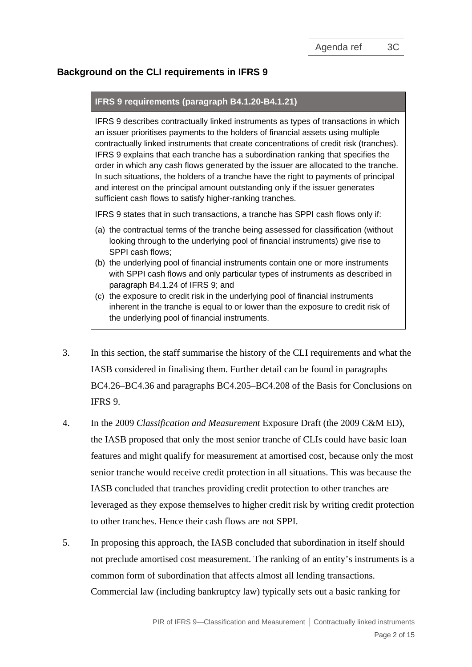## <span id="page-1-0"></span>**Background on the CLI requirements in IFRS 9**

#### **IFRS 9 requirements (paragraph B4.1.20-B4.1.21)**

IFRS 9 describes contractually linked instruments as types of transactions in which an issuer prioritises payments to the holders of financial assets using multiple contractually linked instruments that create concentrations of credit risk (tranches). IFRS 9 explains that each tranche has a subordination ranking that specifies the order in which any cash flows generated by the issuer are allocated to the tranche. In such situations, the holders of a tranche have the right to payments of principal and interest on the principal amount outstanding only if the issuer generates sufficient cash flows to satisfy higher-ranking tranches.

IFRS 9 states that in such transactions, a tranche has SPPI cash flows only if:

- (a) the contractual terms of the tranche being assessed for classification (without looking through to the underlying pool of financial instruments) give rise to SPPI cash flows;
- (b) the underlying pool of financial instruments contain one or more instruments with SPPI cash flows and only particular types of instruments as described in paragraph B4.1.24 of IFRS 9; and
- (c) the exposure to credit risk in the underlying pool of financial instruments inherent in the tranche is equal to or lower than the exposure to credit risk of the underlying pool of financial instruments.
- <span id="page-1-1"></span>3. In this section, the staff summarise the history of the CLI requirements and what the IASB considered in finalising them. Further detail can be found in paragraphs BC4.26–BC4.36 and paragraphs BC4.205–BC4.208 of the Basis for Conclusions on IFRS 9.
- 4. In the 2009 *Classification and Measurement* Exposure Draft (the 2009 C&M ED), the IASB proposed that only the most senior tranche of CLIs could have basic loan features and might qualify for measurement at amortised cost, because only the most senior tranche would receive credit protection in all situations. This was because the IASB concluded that tranches providing credit protection to other tranches are leveraged as they expose themselves to higher credit risk by writing credit protection to other tranches. Hence their cash flows are not SPPI.
- 5. In proposing this approach, the IASB concluded that subordination in itself should not preclude amortised cost measurement. The ranking of an entity's instruments is a common form of subordination that affects almost all lending transactions. Commercial law (including bankruptcy law) typically sets out a basic ranking for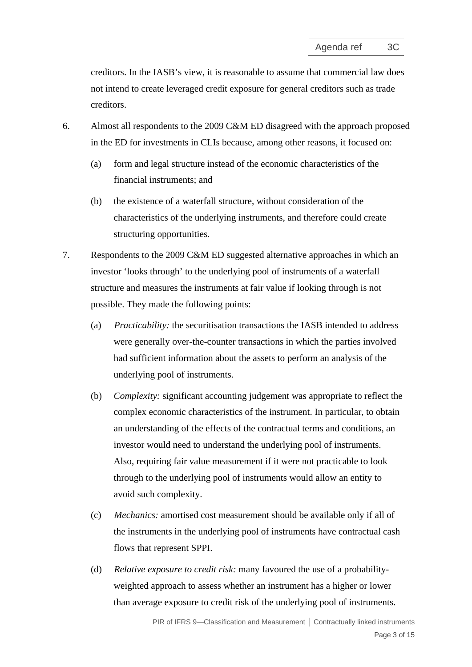creditors. In the IASB's view, it is reasonable to assume that commercial law does not intend to create leveraged credit exposure for general creditors such as trade creditors.

- 6. Almost all respondents to the 2009 C&M ED disagreed with the approach proposed in the ED for investments in CLIs because, among other reasons, it focused on:
	- (a) form and legal structure instead of the economic characteristics of the financial instruments; and
	- (b) the existence of a waterfall structure, without consideration of the characteristics of the underlying instruments, and therefore could create structuring opportunities.
- 7. Respondents to the 2009 C&M ED suggested alternative approaches in which an investor 'looks through' to the underlying pool of instruments of a waterfall structure and measures the instruments at fair value if looking through is not possible. They made the following points:
	- (a) *Practicability:* the securitisation transactions the IASB intended to address were generally over-the-counter transactions in which the parties involved had sufficient information about the assets to perform an analysis of the underlying pool of instruments.
	- (b) *Complexity:* significant accounting judgement was appropriate to reflect the complex economic characteristics of the instrument. In particular, to obtain an understanding of the effects of the contractual terms and conditions, an investor would need to understand the underlying pool of instruments. Also, requiring fair value measurement if it were not practicable to look through to the underlying pool of instruments would allow an entity to avoid such complexity.
	- (c) *Mechanics:* amortised cost measurement should be available only if all of the instruments in the underlying pool of instruments have contractual cash flows that represent SPPI.
	- (d) *Relative exposure to credit risk:* many favoured the use of a probabilityweighted approach to assess whether an instrument has a higher or lower than average exposure to credit risk of the underlying pool of instruments.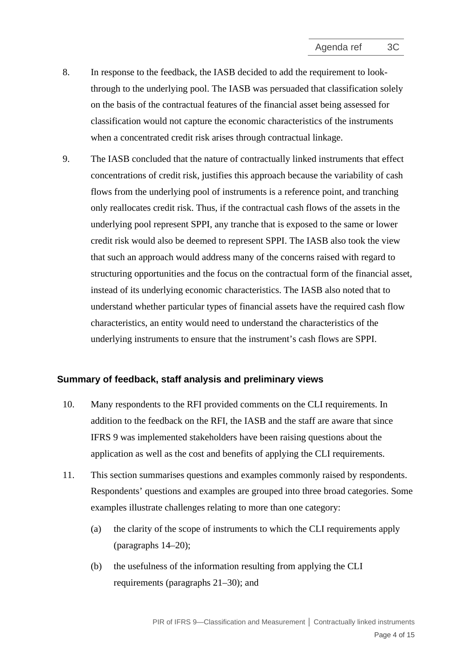- 8. In response to the feedback, the IASB decided to add the requirement to lookthrough to the underlying pool. The IASB was persuaded that classification solely on the basis of the contractual features of the financial asset being assessed for classification would not capture the economic characteristics of the instruments when a concentrated credit risk arises through contractual linkage.
- <span id="page-3-1"></span>9. The IASB concluded that the nature of contractually linked instruments that effect concentrations of credit risk, justifies this approach because the variability of cash flows from the underlying pool of instruments is a reference point, and tranching only reallocates credit risk. Thus, if the contractual cash flows of the assets in the underlying pool represent SPPI, any tranche that is exposed to the same or lower credit risk would also be deemed to represent SPPI. The IASB also took the view that such an approach would address many of the concerns raised with regard to structuring opportunities and the focus on the contractual form of the financial asset, instead of its underlying economic characteristics. The IASB also noted that to understand whether particular types of financial assets have the required cash flow characteristics, an entity would need to understand the characteristics of the underlying instruments to ensure that the instrument's cash flows are SPPI.

### <span id="page-3-0"></span>**Summary of feedback, staff analysis and preliminary views**

- 10. Many respondents to the RFI provided comments on the CLI requirements. In addition to the feedback on the RFI, the IASB and the staff are aware that since IFRS 9 was implemented stakeholders have been raising questions about the application as well as the cost and benefits of applying the CLI requirements.
- 11. This section summarises questions and examples commonly raised by respondents. Respondents' questions and examples are grouped into three broad categories. Some examples illustrate challenges relating to more than one category:
	- (a) the clarity of the scope of instruments to which the CLI requirements apply (paragraphs [14](#page-5-0)[–20\)](#page-7-0);
	- (b) the usefulness of the information resulting from applying the CLI requirements (paragraphs [21](#page-9-0)[–30\)](#page-11-0); and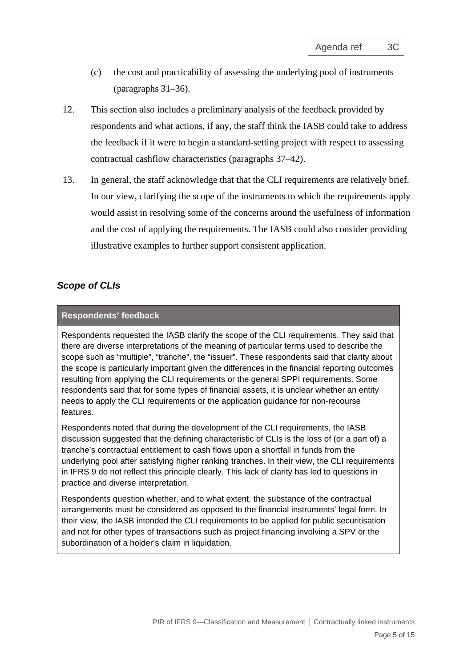- (c) the cost and practicability of assessing the underlying pool of instruments (paragraphs [31–](#page-12-0)36).
- 12. This section also includes a preliminary analysis of the feedback provided by respondents and what actions, if any, the staff think the IASB could take to address the feedback if it were to begin a standard-setting project with respect to assessing contractual cashflow characteristics (paragraphs [37–](#page-13-0)42).
- 13. In general, the staff acknowledge that that the CLI requirements are relatively brief. In our view, clarifying the scope of the instruments to which the requirements apply would assist in resolving some of the concerns around the usefulness of information and the cost of applying the requirements. The IASB could also consider providing illustrative examples to further support consistent application.

### *Scope of CLIs*

### **Respondents' feedback**

Respondents requested the IASB clarify the scope of the CLI requirements. They said that there are diverse interpretations of the meaning of particular terms used to describe the scope such as "multiple", "tranche", the "issuer". These respondents said that clarity about the scope is particularly important given the differences in the financial reporting outcomes resulting from applying the CLI requirements or the general SPPI requirements. Some respondents said that for some types of financial assets, it is unclear whether an entity needs to apply the CLI requirements or the application guidance for non-recourse features.

Respondents noted that during the development of the CLI requirements, the IASB discussion suggested that the defining characteristic of CLIs is the loss of (or a part of) a tranche's contractual entitlement to cash flows upon a shortfall in funds from the underlying pool after satisfying higher ranking tranches. In their view, the CLI requirements in IFRS 9 do not reflect this principle clearly. This lack of clarity has led to questions in practice and diverse interpretation.

Respondents question whether, and to what extent, the substance of the contractual arrangements must be considered as opposed to the financial instruments' legal form. In their view, the IASB intended the CLI requirements to be applied for public securitisation and not for other types of transactions such as project financing involving a SPV or the subordination of a holder's claim in liquidation.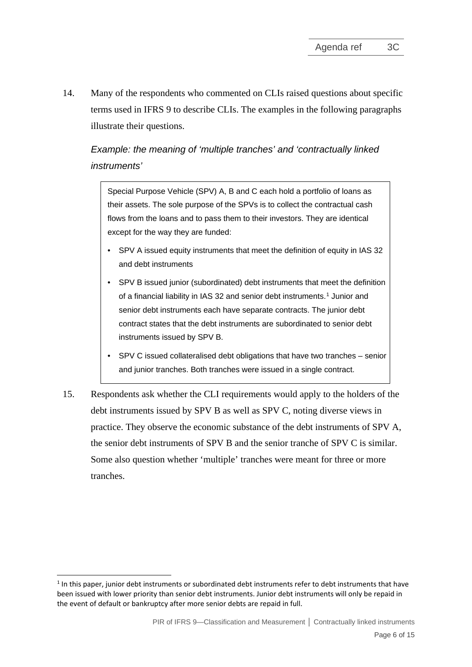<span id="page-5-0"></span>14. Many of the respondents who commented on CLIs raised questions about specific terms used in IFRS 9 to describe CLIs. The examples in the following paragraphs illustrate their questions.

# *Example: the meaning of 'multiple tranches' and 'contractually linked instruments'*

Special Purpose Vehicle (SPV) A, B and C each hold a portfolio of loans as their assets. The sole purpose of the SPVs is to collect the contractual cash flows from the loans and to pass them to their investors. They are identical except for the way they are funded:

- SPV A issued equity instruments that meet the definition of equity in IAS 32 and debt instruments
- SPV B issued junior (subordinated) debt instruments that meet the definition of a financial liability in IAS 32 and senior debt instruments. [1](#page-5-1) Junior and senior debt instruments each have separate contracts. The junior debt contract states that the debt instruments are subordinated to senior debt instruments issued by SPV B.
- SPV C issued collateralised debt obligations that have two tranches senior and junior tranches. Both tranches were issued in a single contract.
- 15. Respondents ask whether the CLI requirements would apply to the holders of the debt instruments issued by SPV B as well as SPV C, noting diverse views in practice. They observe the economic substance of the debt instruments of SPV A, the senior debt instruments of SPV B and the senior tranche of SPV C is similar. Some also question whether 'multiple' tranches were meant for three or more tranches.

<span id="page-5-1"></span><sup>&</sup>lt;sup>1</sup> In this paper, junior debt instruments or subordinated debt instruments refer to debt instruments that have been issued with lower priority than senior debt instruments. Junior debt instruments will only be repaid in the event of default or bankruptcy after more senior debts are repaid in full.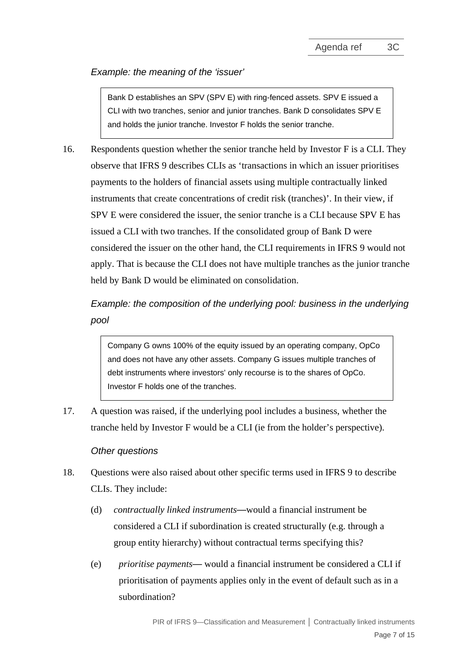### *Example: the meaning of the 'issuer'*

Bank D establishes an SPV (SPV E) with ring-fenced assets. SPV E issued a CLI with two tranches, senior and junior tranches. Bank D consolidates SPV E and holds the junior tranche. Investor F holds the senior tranche.

16. Respondents question whether the senior tranche held by Investor F is a CLI. They observe that IFRS 9 describes CLIs as 'transactions in which an issuer prioritises payments to the holders of financial assets using multiple contractually linked instruments that create concentrations of credit risk (tranches)'. In their view, if SPV E were considered the issuer, the senior tranche is a CLI because SPV E has issued a CLI with two tranches. If the consolidated group of Bank D were considered the issuer on the other hand, the CLI requirements in IFRS 9 would not apply. That is because the CLI does not have multiple tranches as the junior tranche held by Bank D would be eliminated on consolidation.

# *Example: the composition of the underlying pool: business in the underlying pool*

Company G owns 100% of the equity issued by an operating company, OpCo and does not have any other assets. Company G issues multiple tranches of debt instruments where investors' only recourse is to the shares of OpCo. Investor F holds one of the tranches.

17. A question was raised, if the underlying pool includes a business, whether the tranche held by Investor F would be a CLI (ie from the holder's perspective).

### *Other questions*

- 18. Questions were also raised about other specific terms used in IFRS 9 to describe CLIs. They include:
	- (d) *contractually linked instruments*—would a financial instrument be considered a CLI if subordination is created structurally (e.g. through a group entity hierarchy) without contractual terms specifying this?
	- (e) *prioritise payments* would a financial instrument be considered a CLI if prioritisation of payments applies only in the event of default such as in a subordination?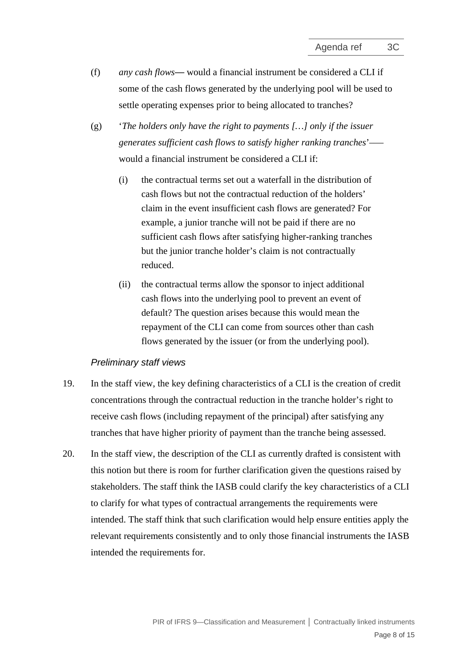- (f) *any cash flows* would a financial instrument be considered a CLI if some of the cash flows generated by the underlying pool will be used to settle operating expenses prior to being allocated to tranches?
- (g) '*The holders only have the right to payments […] only if the issuer generates sufficient cash flows to satisfy higher ranking tranches*'– would a financial instrument be considered a CLI if:
	- (i) the contractual terms set out a waterfall in the distribution of cash flows but not the contractual reduction of the holders' claim in the event insufficient cash flows are generated? For example, a junior tranche will not be paid if there are no sufficient cash flows after satisfying higher-ranking tranches but the junior tranche holder's claim is not contractually reduced.
	- (ii) the contractual terms allow the sponsor to inject additional cash flows into the underlying pool to prevent an event of default? The question arises because this would mean the repayment of the CLI can come from sources other than cash flows generated by the issuer (or from the underlying pool).

#### *Preliminary staff views*

- <span id="page-7-1"></span>19. In the staff view, the key defining characteristics of a CLI is the creation of credit concentrations through the contractual reduction in the tranche holder's right to receive cash flows (including repayment of the principal) after satisfying any tranches that have higher priority of payment than the tranche being assessed.
- <span id="page-7-0"></span>20. In the staff view, the description of the CLI as currently drafted is consistent with this notion but there is room for further clarification given the questions raised by stakeholders. The staff think the IASB could clarify the key characteristics of a CLI to clarify for what types of contractual arrangements the requirements were intended. The staff think that such clarification would help ensure entities apply the relevant requirements consistently and to only those financial instruments the IASB intended the requirements for.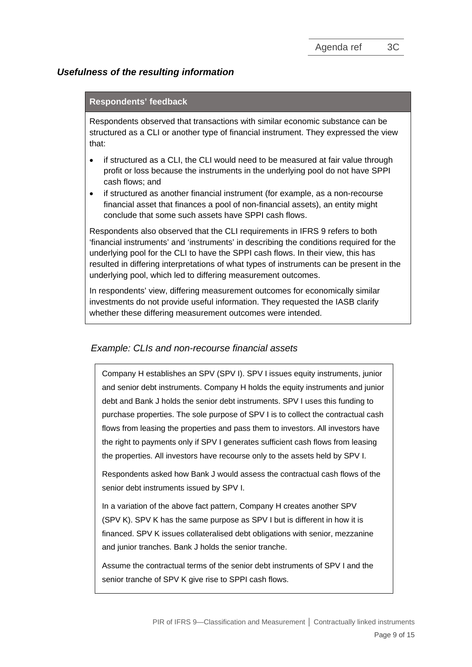### *Usefulness of the resulting information*

#### **Respondents' feedback**

Respondents observed that transactions with similar economic substance can be structured as a CLI or another type of financial instrument. They expressed the view that:

- if structured as a CLI, the CLI would need to be measured at fair value through profit or loss because the instruments in the underlying pool do not have SPPI cash flows; and
- if structured as another financial instrument (for example, as a non-recourse financial asset that finances a pool of non-financial assets), an entity might conclude that some such assets have SPPI cash flows.

Respondents also observed that the CLI requirements in IFRS 9 refers to both 'financial instruments' and 'instruments' in describing the conditions required for the underlying pool for the CLI to have the SPPI cash flows. In their view, this has resulted in differing interpretations of what types of instruments can be present in the underlying pool, which led to differing measurement outcomes.

In respondents' view, differing measurement outcomes for economically similar investments do not provide useful information. They requested the IASB clarify whether these differing measurement outcomes were intended.

#### *Example: CLIs and non-recourse financial assets*

Company H establishes an SPV (SPV I). SPV I issues equity instruments, junior and senior debt instruments. Company H holds the equity instruments and junior debt and Bank J holds the senior debt instruments. SPV I uses this funding to purchase properties. The sole purpose of SPV I is to collect the contractual cash flows from leasing the properties and pass them to investors. All investors have the right to payments only if SPV I generates sufficient cash flows from leasing the properties. All investors have recourse only to the assets held by SPV I.

Respondents asked how Bank J would assess the contractual cash flows of the senior debt instruments issued by SPV I.

In a variation of the above fact pattern, Company H creates another SPV (SPV K). SPV K has the same purpose as SPV I but is different in how it is financed. SPV K issues collateralised debt obligations with senior, mezzanine and junior tranches. Bank J holds the senior tranche.

Assume the contractual terms of the senior debt instruments of SPV I and the senior tranche of SPV K give rise to SPPI cash flows.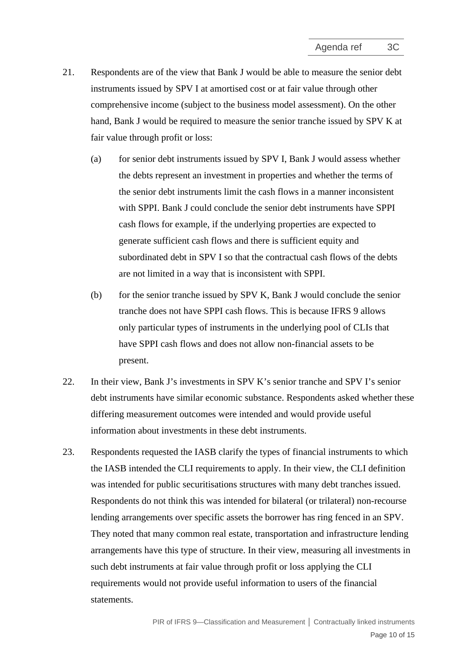- <span id="page-9-0"></span>21. Respondents are of the view that Bank J would be able to measure the senior debt instruments issued by SPV I at amortised cost or at fair value through other comprehensive income (subject to the business model assessment). On the other hand, Bank J would be required to measure the senior tranche issued by SPV K at fair value through profit or loss:
	- (a) for senior debt instruments issued by SPV I, Bank J would assess whether the debts represent an investment in properties and whether the terms of the senior debt instruments limit the cash flows in a manner inconsistent with SPPI. Bank J could conclude the senior debt instruments have SPPI cash flows for example, if the underlying properties are expected to generate sufficient cash flows and there is sufficient equity and subordinated debt in SPV I so that the contractual cash flows of the debts are not limited in a way that is inconsistent with SPPI.
	- (b) for the senior tranche issued by SPV K, Bank J would conclude the senior tranche does not have SPPI cash flows. This is because IFRS 9 allows only particular types of instruments in the underlying pool of CLIs that have SPPI cash flows and does not allow non-financial assets to be present.
- 22. In their view, Bank J's investments in SPV K's senior tranche and SPV I's senior debt instruments have similar economic substance. Respondents asked whether these differing measurement outcomes were intended and would provide useful information about investments in these debt instruments.
- 23. Respondents requested the IASB clarify the types of financial instruments to which the IASB intended the CLI requirements to apply. In their view, the CLI definition was intended for public securitisations structures with many debt tranches issued. Respondents do not think this was intended for bilateral (or trilateral) non-recourse lending arrangements over specific assets the borrower has ring fenced in an SPV. They noted that many common real estate, transportation and infrastructure lending arrangements have this type of structure. In their view, measuring all investments in such debt instruments at fair value through profit or loss applying the CLI requirements would not provide useful information to users of the financial statements.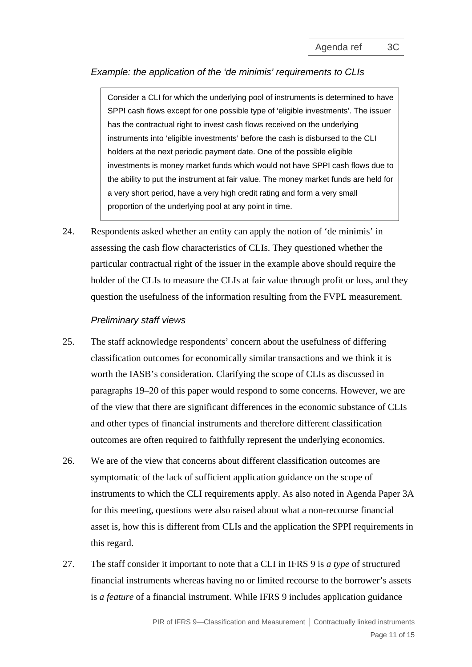### *Example: the application of the 'de minimis' requirements to CLIs*

Consider a CLI for which the underlying pool of instruments is determined to have SPPI cash flows except for one possible type of 'eligible investments'. The issuer has the contractual right to invest cash flows received on the underlying instruments into 'eligible investments' before the cash is disbursed to the CLI holders at the next periodic payment date. One of the possible eligible investments is money market funds which would not have SPPI cash flows due to the ability to put the instrument at fair value. The money market funds are held for a very short period, have a very high credit rating and form a very small proportion of the underlying pool at any point in time.

<span id="page-10-0"></span>24. Respondents asked whether an entity can apply the notion of 'de minimis' in assessing the cash flow characteristics of CLIs. They questioned whether the particular contractual right of the issuer in the example above should require the holder of the CLIs to measure the CLIs at fair value through profit or loss, and they question the usefulness of the information resulting from the FVPL measurement.

#### *Preliminary staff views*

- 25. The staff acknowledge respondents' concern about the usefulness of differing classification outcomes for economically similar transactions and we think it is worth the IASB's consideration. Clarifying the scope of CLIs as discussed in paragraphs [19](#page-7-1)[–20](#page-7-0) of this paper would respond to some concerns. However, we are of the view that there are significant differences in the economic substance of CLIs and other types of financial instruments and therefore different classification outcomes are often required to faithfully represent the underlying economics.
- 26. We are of the view that concerns about different classification outcomes are symptomatic of the lack of sufficient application guidance on the scope of instruments to which the CLI requirements apply. As also noted in Agenda Paper 3A for this meeting, questions were also raised about what a non-recourse financial asset is, how this is different from CLIs and the application the SPPI requirements in this regard.
- 27. The staff consider it important to note that a CLI in IFRS 9 is *a type* of structured financial instruments whereas having no or limited recourse to the borrower's assets is *a feature* of a financial instrument. While IFRS 9 includes application guidance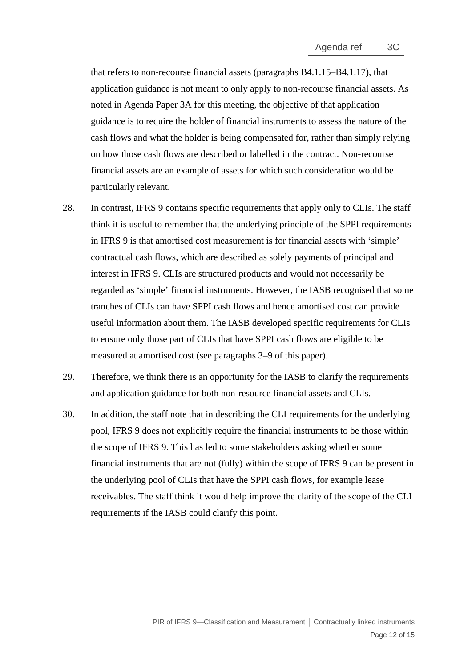that refers to non-recourse financial assets (paragraphs B4.1.15–B4.1.17), that application guidance is not meant to only apply to non-recourse financial assets. As noted in Agenda Paper 3A for this meeting, the objective of that application guidance is to require the holder of financial instruments to assess the nature of the cash flows and what the holder is being compensated for, rather than simply relying on how those cash flows are described or labelled in the contract. Non-recourse financial assets are an example of assets for which such consideration would be particularly relevant.

- 28. In contrast, IFRS 9 contains specific requirements that apply only to CLIs. The staff think it is useful to remember that the underlying principle of the SPPI requirements in IFRS 9 is that amortised cost measurement is for financial assets with 'simple' contractual cash flows, which are described as solely payments of principal and interest in IFRS 9. CLIs are structured products and would not necessarily be regarded as 'simple' financial instruments. However, the IASB recognised that some tranches of CLIs can have SPPI cash flows and hence amortised cost can provide useful information about them. The IASB developed specific requirements for CLIs to ensure only those part of CLIs that have SPPI cash flows are eligible to be measured at amortised cost (see paragraphs [3–](#page-1-1)[9](#page-3-1) of this paper).
- 29. Therefore, we think there is an opportunity for the IASB to clarify the requirements and application guidance for both non-resource financial assets and CLIs.
- <span id="page-11-0"></span>30. In addition, the staff note that in describing the CLI requirements for the underlying pool, IFRS 9 does not explicitly require the financial instruments to be those within the scope of IFRS 9. This has led to some stakeholders asking whether some financial instruments that are not (fully) within the scope of IFRS 9 can be present in the underlying pool of CLIs that have the SPPI cash flows, for example lease receivables. The staff think it would help improve the clarity of the scope of the CLI requirements if the IASB could clarify this point.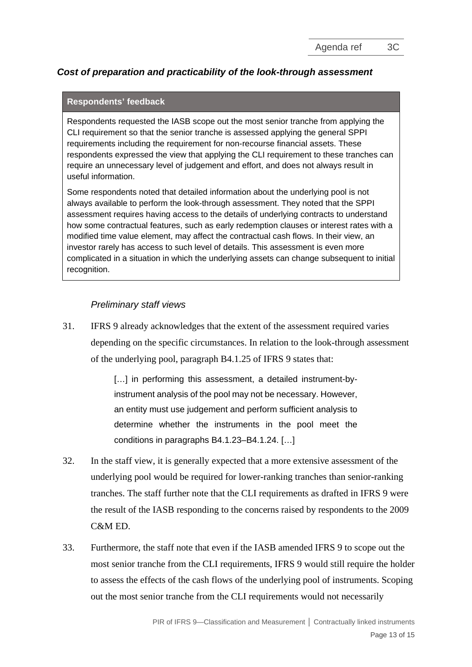# *Cost of preparation and practicability of the look-through assessment*

#### **Respondents' feedback**

Respondents requested the IASB scope out the most senior tranche from applying the CLI requirement so that the senior tranche is assessed applying the general SPPI requirements including the requirement for non-recourse financial assets. These respondents expressed the view that applying the CLI requirement to these tranches can require an unnecessary level of judgement and effort, and does not always result in useful information.

Some respondents noted that detailed information about the underlying pool is not always available to perform the look-through assessment. They noted that the SPPI assessment requires having access to the details of underlying contracts to understand how some contractual features, such as early redemption clauses or interest rates with a modified time value element, may affect the contractual cash flows. In their view, an investor rarely has access to such level of details. This assessment is even more complicated in a situation in which the underlying assets can change subsequent to initial recognition.

### *Preliminary staff views*

<span id="page-12-0"></span>31. IFRS 9 already acknowledges that the extent of the assessment required varies depending on the specific circumstances. In relation to the look-through assessment of the underlying pool, paragraph B4.1.25 of IFRS 9 states that:

> [...] in performing this assessment, a detailed instrument-byinstrument analysis of the pool may not be necessary. However, an entity must use judgement and perform sufficient analysis to determine whether the instruments in the pool meet the conditions in paragraphs B4.1.23–B4.1.24. […]

- 32. In the staff view, it is generally expected that a more extensive assessment of the underlying pool would be required for lower-ranking tranches than senior-ranking tranches. The staff further note that the CLI requirements as drafted in IFRS 9 were the result of the IASB responding to the concerns raised by respondents to the 2009  $C\&MED$
- 33. Furthermore, the staff note that even if the IASB amended IFRS 9 to scope out the most senior tranche from the CLI requirements, IFRS 9 would still require the holder to assess the effects of the cash flows of the underlying pool of instruments. Scoping out the most senior tranche from the CLI requirements would not necessarily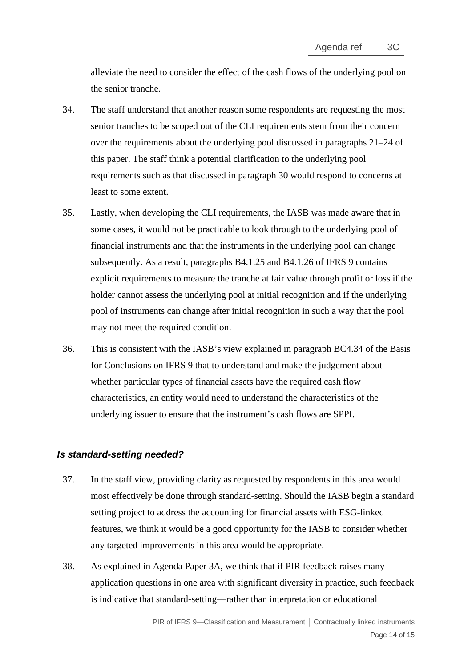alleviate the need to consider the effect of the cash flows of the underlying pool on the senior tranche.

- 34. The staff understand that another reason some respondents are requesting the most senior tranches to be scoped out of the CLI requirements stem from their concern over the requirements about the underlying pool discussed in paragraphs [21–](#page-9-0)[24](#page-10-0) of this paper. The staff think a potential clarification to the underlying pool requirements such as that discussed in paragraph 30 would respond to concerns at least to some extent.
- 35. Lastly, when developing the CLI requirements, the IASB was made aware that in some cases, it would not be practicable to look through to the underlying pool of financial instruments and that the instruments in the underlying pool can change subsequently. As a result, paragraphs B4.1.25 and B4.1.26 of IFRS 9 contains explicit requirements to measure the tranche at fair value through profit or loss if the holder cannot assess the underlying pool at initial recognition and if the underlying pool of instruments can change after initial recognition in such a way that the pool may not meet the required condition.
- 36. This is consistent with the IASB's view explained in paragraph BC4.34 of the Basis for Conclusions on IFRS 9 that to understand and make the judgement about whether particular types of financial assets have the required cash flow characteristics, an entity would need to understand the characteristics of the underlying issuer to ensure that the instrument's cash flows are SPPI.

### *Is standard-setting needed?*

- <span id="page-13-0"></span>37. In the staff view, providing clarity as requested by respondents in this area would most effectively be done through standard-setting. Should the IASB begin a standard setting project to address the accounting for financial assets with ESG-linked features, we think it would be a good opportunity for the IASB to consider whether any targeted improvements in this area would be appropriate.
- 38. As explained in Agenda Paper 3A, we think that if PIR feedback raises many application questions in one area with significant diversity in practice, such feedback is indicative that standard-setting—rather than interpretation or educational